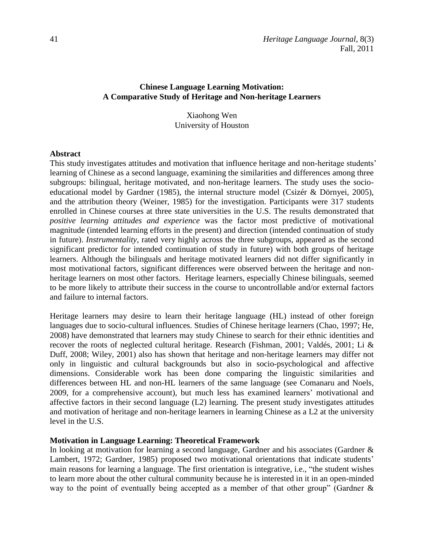# **Chinese Language Learning Motivation: A Comparative Study of Heritage and Non-heritage Learners**

## Xiaohong Wen University of Houston

#### **Abstract**

This study investigates attitudes and motivation that influence heritage and non-heritage students' learning of Chinese as a second language, examining the similarities and differences among three subgroups: bilingual, heritage motivated, and non-heritage learners. The study uses the socioeducational model by Gardner (1985), the internal structure model (Csizér & Dörnyei, 2005), and the attribution theory (Weiner, 1985) for the investigation. Participants were 317 students enrolled in Chinese courses at three state universities in the U.S. The results demonstrated that *positive learning attitudes and experience* was the factor most predictive of motivational magnitude (intended learning efforts in the present) and direction (intended continuation of study in future). *Instrumentality*, rated very highly across the three subgroups, appeared as the second significant predictor for intended continuation of study in future) with both groups of heritage learners. Although the bilinguals and heritage motivated learners did not differ significantly in most motivational factors, significant differences were observed between the heritage and nonheritage learners on most other factors. Heritage learners, especially Chinese bilinguals, seemed to be more likely to attribute their success in the course to uncontrollable and/or external factors and failure to internal factors.

Heritage learners may desire to learn their heritage language (HL) instead of other foreign languages due to socio-cultural influences. Studies of Chinese heritage learners (Chao, 1997; He, 2008) have demonstrated that learners may study Chinese to search for their ethnic identities and recover the roots of neglected cultural heritage. Research (Fishman, 2001; Valdés, 2001; Li & Duff, 2008; Wiley, 2001) also has shown that heritage and non-heritage learners may differ not only in linguistic and cultural backgrounds but also in socio-psychological and affective dimensions. Considerable work has been done comparing the linguistic similarities and differences between HL and non-HL learners of the same language (see Comanaru and Noels, 2009, for a comprehensive account), but much less has examined learners' motivational and affective factors in their second language (L2) learning. The present study investigates attitudes and motivation of heritage and non-heritage learners in learning Chinese as a L2 at the university level in the U.S.

### **Motivation in Language Learning: Theoretical Framework**

In looking at motivation for learning a second language, Gardner and his associates (Gardner & Lambert, 1972; Gardner, 1985) proposed two motivational orientations that indicate students' main reasons for learning a language. The first orientation is integrative, i.e., "the student wishes to learn more about the other cultural community because he is interested in it in an open-minded way to the point of eventually being accepted as a member of that other group" (Gardner &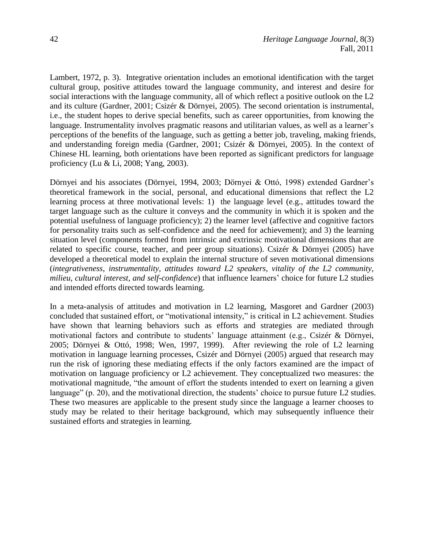Lambert, 1972, p. 3). Integrative orientation includes an emotional identification with the target cultural group, positive attitudes toward the language community, and interest and desire for social interactions with the language community, all of which reflect a positive outlook on the L2 and its culture (Gardner, 2001; Csizér & Dörnyei, 2005). The second orientation is instrumental, i.e., the student hopes to derive special benefits, such as career opportunities, from knowing the language. Instrumentality involves pragmatic reasons and utilitarian values, as well as a learner's perceptions of the benefits of the language, such as getting a better job, traveling, making friends, and understanding foreign media (Gardner, 2001; Csizér & Dörnyei, 2005). In the context of Chinese HL learning, both orientations have been reported as significant predictors for language proficiency (Lu & Li, 2008; Yang, 2003).

Dörnyei and his associates (Dörnyei, 1994, 2003; Dörnyei & Ottó, 1998) extended Gardner's theoretical framework in the social, personal, and educational dimensions that reflect the L2 learning process at three motivational levels: 1) the language level (e.g., attitudes toward the target language such as the culture it conveys and the community in which it is spoken and the potential usefulness of language proficiency); 2) the learner level (affective and cognitive factors for personality traits such as self-confidence and the need for achievement); and 3) the learning situation level (components formed from intrinsic and extrinsic motivational dimensions that are related to specific course, teacher, and peer group situations). Csizér & Dörnyei (2005) have developed a theoretical model to explain the internal structure of seven motivational dimensions (*integrativeness, instrumentality, attitudes toward L2 speakers, vitality of the L2 community, milieu, cultural interest, and self-confidence*) that influence learners' choice for future L2 studies and intended efforts directed towards learning.

In a meta-analysis of attitudes and motivation in L2 learning, Masgoret and Gardner (2003) concluded that sustained effort, or "motivational intensity," is critical in L2 achievement. Studies have shown that learning behaviors such as efforts and strategies are mediated through motivational factors and contribute to students' language attainment (e.g., Csizér & Dörnyei, 2005; Dörnyei & Ottó, 1998; Wen, 1997, 1999). After reviewing the role of L2 learning motivation in language learning processes, Csizér and Dörnyei (2005) argued that research may run the risk of ignoring these mediating effects if the only factors examined are the impact of motivation on language proficiency or L2 achievement. They conceptualized two measures: the motivational magnitude, "the amount of effort the students intended to exert on learning a given language" (p. 20), and the motivational direction, the students' choice to pursue future L2 studies. These two measures are applicable to the present study since the language a learner chooses to study may be related to their heritage background, which may subsequently influence their sustained efforts and strategies in learning.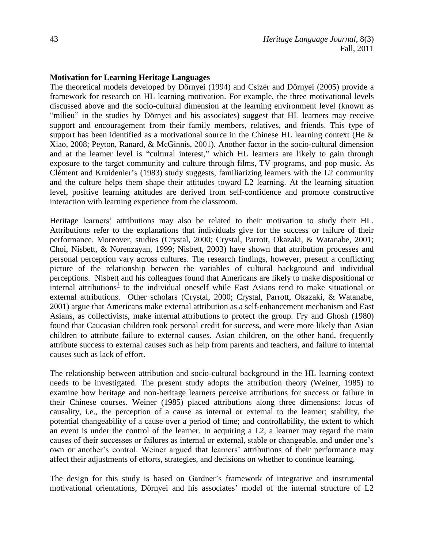### **Motivation for Learning Heritage Languages**

The theoretical models developed by Dörnyei (1994) and Csizér and Dörnyei (2005) provide a framework for research on HL learning motivation. For example, the three motivational levels discussed above and the socio-cultural dimension at the learning environment level (known as "milieu" in the studies by Dörnyei and his associates) suggest that HL learners may receive support and encouragement from their family members, relatives, and friends. This type of support has been identified as a motivational source in the Chinese HL learning context (He & Xiao, 2008; Peyton, Ranard, & McGinnis, 2001). Another factor in the socio-cultural dimension and at the learner level is "cultural interest," which HL learners are likely to gain through exposure to the target community and culture through films, TV programs, and pop music. As Clément and Kruidenier's (1983) study suggests, familiarizing learners with the L2 community and the culture helps them shape their attitudes toward L2 learning. At the learning situation level, positive learning attitudes are derived from self-confidence and promote constructive interaction with learning experience from the classroom.

<span id="page-2-0"></span>Heritage learners' attributions may also be related to their motivation to study their HL. Attributions refer to the explanations that individuals give for the success or failure of their performance. Moreover, studies (Crystal, 2000; Crystal, Parrott, Okazaki, & Watanabe, 2001; Choi, Nisbett, & Norenzayan, 1999; Nisbett, 2003) have shown that attribution processes and personal perception vary across cultures. The research findings, however, present a conflicting picture of the relationship between the variables of cultural background and individual perceptions. Nisbett and his colleagues found that Americans are likely to make dispositional or  $\frac{1}{\pi}$  internal attribution[s](#page-25-0)<sup>1</sup> to the individual oneself while East Asians tend to make situational or external attributions. Other scholars (Crystal, 2000; Crystal, Parrott, Okazaki, & Watanabe, 2001) argue that Americans make external attribution as a self-enhancement mechanism and East Asians, as collectivists, make internal attributions to protect the group. Fry and Ghosh (1980) found that Caucasian children took personal credit for success, and were more likely than Asian children to attribute failure to external causes. Asian children, on the other hand, frequently attribute success to external causes such as help from parents and teachers, and failure to internal causes such as lack of effort.

The relationship between attribution and socio-cultural background in the HL learning context needs to be investigated. The present study adopts the attribution theory (Weiner, 1985) to examine how heritage and non-heritage learners perceive attributions for success or failure in their Chinese courses. Weiner (1985) placed attributions along three dimensions: locus of causality, i.e., the perception of a cause as internal or external to the learner; stability, the potential changeability of a cause over a period of time; and controllability, the extent to which an event is under the control of the learner. In acquiring a L2, a learner may regard the main causes of their successes or failures as internal or external, stable or changeable, and under one's own or another's control. Weiner argued that learners' attributions of their performance may affect their adjustments of efforts, strategies, and decisions on whether to continue learning.

The design for this study is based on Gardner's framework of integrative and instrumental motivational orientations, Dörnyei and his associates' model of the internal structure of L2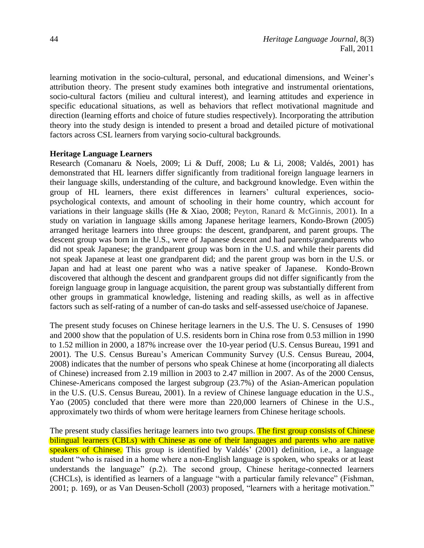learning motivation in the socio-cultural, personal, and educational dimensions, and Weiner's attribution theory. The present study examines both integrative and instrumental orientations, socio-cultural factors (milieu and cultural interest), and learning attitudes and experience in specific educational situations, as well as behaviors that reflect motivational magnitude and direction (learning efforts and choice of future studies respectively). Incorporating the attribution theory into the study design is intended to present a broad and detailed picture of motivational factors across CSL learners from varying socio-cultural backgrounds.

### **Heritage Language Learners**

Research (Comanaru & Noels, 2009; Li & Duff, 2008; Lu & Li, 2008; Valdés, 2001) has demonstrated that HL learners differ significantly from traditional foreign language learners in their language skills, understanding of the culture, and background knowledge. Even within the group of HL learners, there exist differences in learners' cultural experiences, sociopsychological contexts, and amount of schooling in their home country, which account for variations in their language skills (He & Xiao, 2008; Peyton, Ranard & McGinnis, 2001). In a study on variation in language skills among Japanese heritage learners, Kondo-Brown (2005) arranged heritage learners into three groups: the descent, grandparent, and parent groups. The descent group was born in the U.S., were of Japanese descent and had parents/grandparents who did not speak Japanese; the grandparent group was born in the U.S. and while their parents did not speak Japanese at least one grandparent did; and the parent group was born in the U.S. or Japan and had at least one parent who was a native speaker of Japanese. Kondo-Brown discovered that although the descent and grandparent groups did not differ significantly from the foreign language group in language acquisition, the parent group was substantially different from other groups in grammatical knowledge, listening and reading skills, as well as in affective factors such as self-rating of a number of can-do tasks and self-assessed use/choice of Japanese.

The present study focuses on Chinese heritage learners in the U.S. The U. S. Censuses of 1990 and 2000 show that the population of U.S. residents born in China rose from 0.53 million in 1990 to 1.52 million in 2000, a 187% increase over the 10-year period (U.S. Census Bureau, 1991 and 2001). The U.S. Census Bureau's American Community Survey (U.S. Census Bureau, 2004, 2008) indicates that the number of persons who speak Chinese at home (incorporating all dialects of Chinese) increased from 2.19 million in 2003 to 2.47 million in 2007. As of the 2000 Census, Chinese-Americans composed the largest subgroup (23.7%) of the Asian-American population in the U.S. (U.S. Census Bureau, 2001). In a review of Chinese language education in the U.S., Yao (2005) concluded that there were more than 220,000 learners of Chinese in the U.S., approximately two thirds of whom were heritage learners from Chinese heritage schools.

The present study classifies heritage learners into two groups. The first group consists of Chinese bilingual learners (CBLs) with Chinese as one of their languages and parents who are native speakers of Chinese. This group is identified by Valdés' (2001) definition, i.e., a language student "who is raised in a home where a non-English language is spoken, who speaks or at least understands the language" (p.2). The second group, Chinese heritage-connected learners (CHCLs), is identified as learners of a language "with a particular family relevance" (Fishman, 2001; p. 169), or as Van Deusen-Scholl (2003) proposed, "learners with a heritage motivation."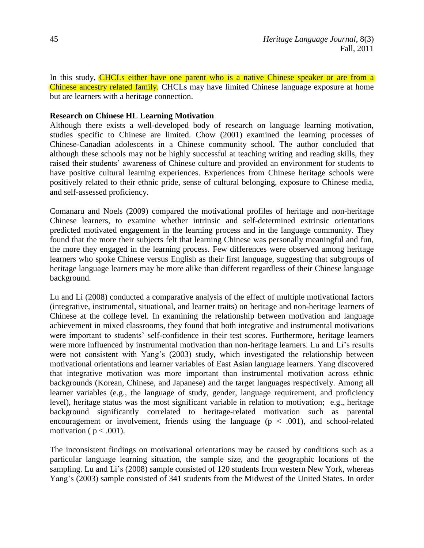In this study, CHCLs either have one parent who is a native Chinese speaker or are from a Chinese ancestry related family. CHCLs may have limited Chinese language exposure at home but are learners with a heritage connection.

### **Research on Chinese HL Learning Motivation**

Although there exists a well-developed body of research on language learning motivation, studies specific to Chinese are limited. Chow (2001) examined the learning processes of Chinese-Canadian adolescents in a Chinese community school. The author concluded that although these schools may not be highly successful at teaching writing and reading skills, they raised their students' awareness of Chinese culture and provided an environment for students to have positive cultural learning experiences. Experiences from Chinese heritage schools were positively related to their ethnic pride, sense of cultural belonging, exposure to Chinese media, and self-assessed proficiency.

Comanaru and Noels (2009) compared the motivational profiles of heritage and non-heritage Chinese learners, to examine whether intrinsic and self-determined extrinsic orientations predicted motivated engagement in the learning process and in the language community. They found that the more their subjects felt that learning Chinese was personally meaningful and fun, the more they engaged in the learning process. Few differences were observed among heritage learners who spoke Chinese versus English as their first language, suggesting that subgroups of heritage language learners may be more alike than different regardless of their Chinese language background.

Lu and Li (2008) conducted a comparative analysis of the effect of multiple motivational factors (integrative, instrumental, situational, and learner traits) on heritage and non-heritage learners of Chinese at the college level. In examining the relationship between motivation and language achievement in mixed classrooms, they found that both integrative and instrumental motivations were important to students' self-confidence in their test scores. Furthermore, heritage learners were more influenced by instrumental motivation than non-heritage learners. Lu and Li's results were not consistent with Yang's (2003) study, which investigated the relationship between motivational orientations and learner variables of East Asian language learners. Yang discovered that integrative motivation was more important than instrumental motivation across ethnic backgrounds (Korean, Chinese, and Japanese) and the target languages respectively. Among all learner variables (e.g., the language of study, gender, language requirement, and proficiency level), heritage status was the most significant variable in relation to motivation; e.g., heritage background significantly correlated to heritage-related motivation such as parental encouragement or involvement, friends using the language  $(p < .001)$ , and school-related motivation ( $p < .001$ ).

The inconsistent findings on motivational orientations may be caused by conditions such as a particular language learning situation, the sample size, and the geographic locations of the sampling. Lu and Li's (2008) sample consisted of 120 students from western New York, whereas Yang's (2003) sample consisted of 341 students from the Midwest of the United States. In order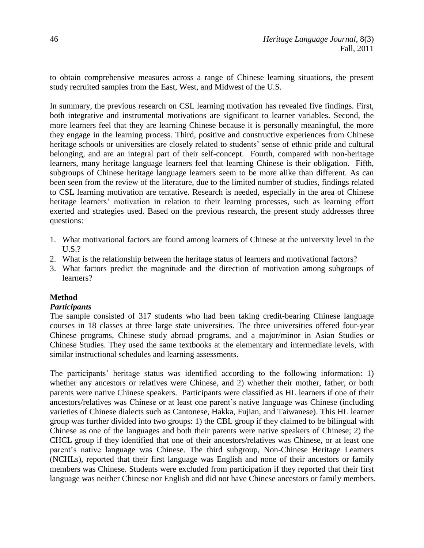to obtain comprehensive measures across a range of Chinese learning situations, the present study recruited samples from the East, West, and Midwest of the U.S.

In summary, the previous research on CSL learning motivation has revealed five findings. First, both integrative and instrumental motivations are significant to learner variables. Second, the more learners feel that they are learning Chinese because it is personally meaningful, the more they engage in the learning process. Third, positive and constructive experiences from Chinese heritage schools or universities are closely related to students' sense of ethnic pride and cultural belonging, and are an integral part of their self-concept. Fourth, compared with non-heritage learners, many heritage language learners feel that learning Chinese is their obligation. Fifth, subgroups of Chinese heritage language learners seem to be more alike than different. As can been seen from the review of the literature, due to the limited number of studies, findings related to CSL learning motivation are tentative. Research is needed, especially in the area of Chinese heritage learners' motivation in relation to their learning processes, such as learning effort exerted and strategies used. Based on the previous research, the present study addresses three questions:

- 1. What motivational factors are found among learners of Chinese at the university level in the U.S.?
- 2. What is the relationship between the heritage status of learners and motivational factors?
- 3. What factors predict the magnitude and the direction of motivation among subgroups of learners?

# **Method**

# *Participants*

The sample consisted of 317 students who had been taking credit-bearing Chinese language courses in 18 classes at three large state universities. The three universities offered four-year Chinese programs, Chinese study abroad programs, and a major/minor in Asian Studies or Chinese Studies. They used the same textbooks at the elementary and intermediate levels, with similar instructional schedules and learning assessments.

The participants' heritage status was identified according to the following information: 1) whether any ancestors or relatives were Chinese, and 2) whether their mother, father, or both parents were native Chinese speakers. Participants were classified as HL learners if one of their ancestors/relatives was Chinese or at least one parent's native language was Chinese (including varieties of Chinese dialects such as Cantonese, Hakka, Fujian, and Taiwanese). This HL learner group was further divided into two groups: 1) the CBL group if they claimed to be bilingual with Chinese as one of the languages and both their parents were native speakers of Chinese; 2) the CHCL group if they identified that one of their ancestors/relatives was Chinese, or at least one parent's native language was Chinese. The third subgroup, Non-Chinese Heritage Learners (NCHLs), reported that their first language was English and none of their ancestors or family members was Chinese. Students were excluded from participation if they reported that their first language was neither Chinese nor English and did not have Chinese ancestors or family members.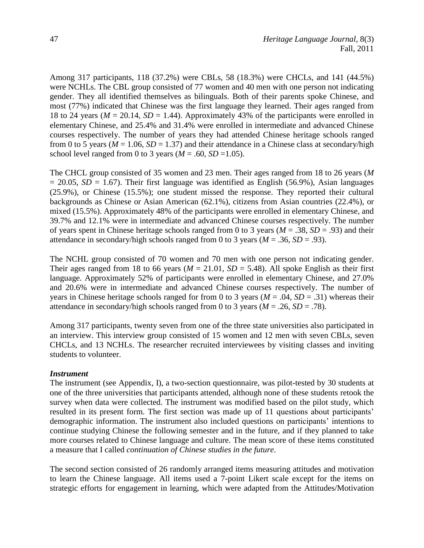Among 317 participants, 118 (37.2%) were CBLs, 58 (18.3%) were CHCLs, and 141 (44.5%) were NCHLs. The CBL group consisted of 77 women and 40 men with one person not indicating gender. They all identified themselves as bilinguals. Both of their parents spoke Chinese, and most (77%) indicated that Chinese was the first language they learned. Their ages ranged from 18 to 24 years ( $M = 20.14$ ,  $SD = 1.44$ ). Approximately 43% of the participants were enrolled in elementary Chinese, and 25.4% and 31.4% were enrolled in intermediate and advanced Chinese courses respectively. The number of years they had attended Chinese heritage schools ranged from 0 to 5 years ( $M = 1.06$ ,  $SD = 1.37$ ) and their attendance in a Chinese class at secondary/high school level ranged from 0 to 3 years ( $M = .60$ ,  $SD = 1.05$ ).

The CHCL group consisted of 35 women and 23 men. Their ages ranged from 18 to 26 years (*M*   $= 20.05$ , *SD* = 1.67). Their first language was identified as English (56.9%), Asian languages (25.9%), or Chinese (15.5%); one student missed the response. They reported their cultural backgrounds as Chinese or Asian American (62.1%), citizens from Asian countries (22.4%), or mixed (15.5%). Approximately 48% of the participants were enrolled in elementary Chinese, and 39.7% and 12.1% were in intermediate and advanced Chinese courses respectively. The number of years spent in Chinese heritage schools ranged from 0 to 3 years (*M* = .38, *SD* = .93) and their attendance in secondary/high schools ranged from 0 to 3 years ( $M = .36$ ,  $SD = .93$ ).

The NCHL group consisted of 70 women and 70 men with one person not indicating gender. Their ages ranged from 18 to 66 years ( $M = 21.01$ ,  $SD = 5.48$ ). All spoke English as their first language. Approximately 52% of participants were enrolled in elementary Chinese, and 27.0% and 20.6% were in intermediate and advanced Chinese courses respectively. The number of years in Chinese heritage schools ranged for from 0 to 3 years ( $M = .04$ ,  $SD = .31$ ) whereas their attendance in secondary/high schools ranged from 0 to 3 years ( $M = .26$ ,  $SD = .78$ ).

Among 317 participants, twenty seven from one of the three state universities also participated in an interview. This interview group consisted of 15 women and 12 men with seven CBLs, seven CHCLs, and 13 NCHLs. The researcher recruited interviewees by visiting classes and inviting students to volunteer.

# *Instrument*

The instrument (see Appendix, I), a two-section questionnaire, was pilot-tested by 30 students at one of the three universities that participants attended, although none of these students retook the survey when data were collected. The instrument was modified based on the pilot study, which resulted in its present form. The first section was made up of 11 questions about participants' demographic information. The instrument also included questions on participants' intentions to continue studying Chinese the following semester and in the future, and if they planned to take more courses related to Chinese language and culture. The mean score of these items constituted a measure that I called *continuation of Chinese studies in the future*.

The second section consisted of 26 randomly arranged items measuring attitudes and motivation to learn the Chinese language. All items used a 7-point Likert scale except for the items on strategic efforts for engagement in learning, which were adapted from the Attitudes/Motivation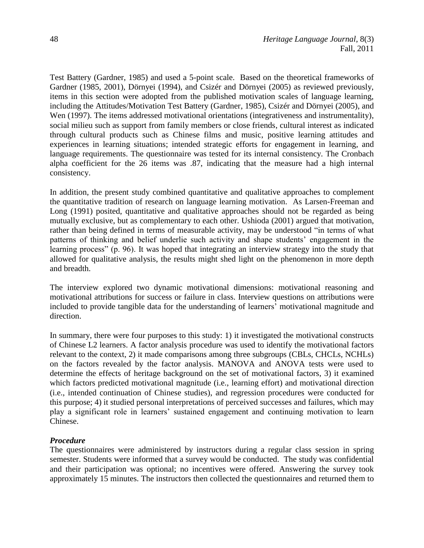Test Battery (Gardner, 1985) and used a 5-point scale. Based on the theoretical frameworks of Gardner (1985, 2001), Dörnyei (1994), and Csizér and Dörnyei (2005) as reviewed previously, items in this section were adopted from the published motivation scales of language learning, including the Attitudes/Motivation Test Battery (Gardner, 1985), Csizér and Dörnyei (2005), and Wen (1997). The items addressed motivational orientations (integrativeness and instrumentality), social milieu such as support from family members or close friends, cultural interest as indicated through cultural products such as Chinese films and music, positive learning attitudes and experiences in learning situations; intended strategic efforts for engagement in learning, and language requirements. The questionnaire was tested for its internal consistency. The Cronbach alpha coefficient for the 26 items was .87, indicating that the measure had a high internal consistency.

In addition, the present study combined quantitative and qualitative approaches to complement the quantitative tradition of research on language learning motivation. As Larsen-Freeman and Long (1991) posited, quantitative and qualitative approaches should not be regarded as being mutually exclusive, but as complementary to each other. Ushioda (2001) argued that motivation, rather than being defined in terms of measurable activity, may be understood "in terms of what patterns of thinking and belief underlie such activity and shape students' engagement in the learning process" (p. 96). It was hoped that integrating an interview strategy into the study that allowed for qualitative analysis, the results might shed light on the phenomenon in more depth and breadth.

The interview explored two dynamic motivational dimensions: motivational reasoning and motivational attributions for success or failure in class. Interview questions on attributions were included to provide tangible data for the understanding of learners' motivational magnitude and direction.

In summary, there were four purposes to this study: 1) it investigated the motivational constructs of Chinese L2 learners. A factor analysis procedure was used to identify the motivational factors relevant to the context, 2) it made comparisons among three subgroups (CBLs, CHCLs, NCHLs) on the factors revealed by the factor analysis. MANOVA and ANOVA tests were used to determine the effects of heritage background on the set of motivational factors, 3) it examined which factors predicted motivational magnitude (i.e., learning effort) and motivational direction (i.e., intended continuation of Chinese studies), and regression procedures were conducted for this purpose; 4) it studied personal interpretations of perceived successes and failures, which may play a significant role in learners' sustained engagement and continuing motivation to learn Chinese.

# *Procedure*

The questionnaires were administered by instructors during a regular class session in spring semester. Students were informed that a survey would be conducted. The study was confidential and their participation was optional; no incentives were offered. Answering the survey took approximately 15 minutes. The instructors then collected the questionnaires and returned them to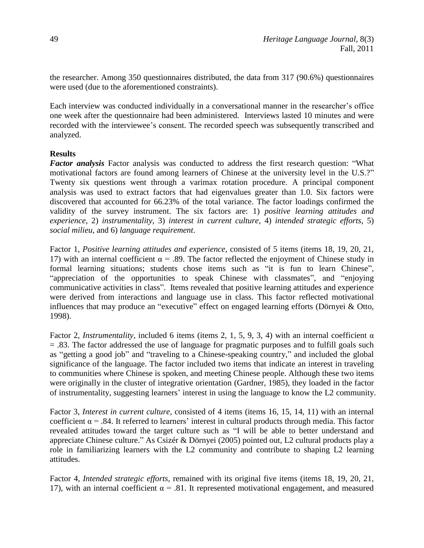the researcher. Among 350 questionnaires distributed, the data from 317 (90.6%) questionnaires were used (due to the aforementioned constraints).

Each interview was conducted individually in a conversational manner in the researcher's office one week after the questionnaire had been administered. Interviews lasted 10 minutes and were recorded with the interviewee's consent. The recorded speech was subsequently transcribed and analyzed.

# **Results**

*Factor analysis* Factor analysis was conducted to address the first research question: "What motivational factors are found among learners of Chinese at the university level in the U.S.?" Twenty six questions went through a varimax rotation procedure. A principal component analysis was used to extract factors that had eigenvalues greater than 1.0. Six factors were discovered that accounted for 66.23% of the total variance. The factor loadings confirmed the validity of the survey instrument. The six factors are: 1) *positive learning attitudes and experience*, 2) *instrumentality*, 3) *interest in current culture*, 4) *intended strategic efforts*, 5) *social milieu*, and 6) *language requirement*.

Factor 1, *Positive learning attitudes and experience*, consisted of 5 items (items 18, 19, 20, 21, 17) with an internal coefficient  $\alpha$  = .89. The factor reflected the enjoyment of Chinese study in formal learning situations; students chose items such as "it is fun to learn Chinese", "appreciation of the opportunities to speak Chinese with classmates", and "enjoying communicative activities in class". Items revealed that positive learning attitudes and experience were derived from interactions and language use in class. This factor reflected motivational influences that may produce an "executive" effect on engaged learning efforts (Dörnyei & Otto, 1998).

Factor 2, *Instrumentality*, included 6 items (items 2, 1, 5, 9, 3, 4) with an internal coefficient α = .83. The factor addressed the use of language for pragmatic purposes and to fulfill goals such as "getting a good job" and "traveling to a Chinese-speaking country," and included the global significance of the language. The factor included two items that indicate an interest in traveling to communities where Chinese is spoken, and meeting Chinese people. Although these two items were originally in the cluster of integrative orientation (Gardner, 1985), they loaded in the factor of instrumentality, suggesting learners' interest in using the language to know the L2 community.

Factor 3, *Interest in current culture,* consisted of 4 items (items 16, 15, 14, 11) with an internal coefficient  $\alpha$  = .84. It referred to learners' interest in cultural products through media. This factor revealed attitudes toward the target culture such as "I will be able to better understand and appreciate Chinese culture." As Csizér & Dörnyei (2005) pointed out, L2 cultural products play a role in familiarizing learners with the L2 community and contribute to shaping L2 learning attitudes.

Factor 4*, Intended strategic efforts,* remained with its original five items (items 18, 19, 20, 21, 17), with an internal coefficient  $\alpha = .81$ . It represented motivational engagement, and measured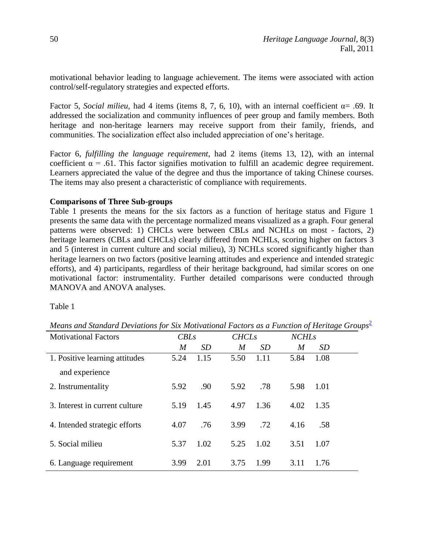motivational behavior leading to language achievement. The items were associated with action control/self-regulatory strategies and expected efforts.

Factor 5, *Social milieu,* had 4 items (items 8, 7, 6, 10), with an internal coefficient α= .69. It addressed the socialization and community influences of peer group and family members. Both heritage and non-heritage learners may receive support from their family, friends, and communities. The socialization effect also included appreciation of one's heritage.

Factor 6, *fulfilling the language requirement*, had 2 items (items 13, 12), with an internal coefficient  $\alpha$  = .61. This factor signifies motivation to fulfill an academic degree requirement. Learners appreciated the value of the degree and thus the importance of taking Chinese courses. The items may also present a characteristic of compliance with requirements.

# **Comparisons of Three Sub-groups**

Table 1 presents the means for the six factors as a function of heritage status and Figure 1 presents the same data with the percentage normalized means visualized as a graph. Four general patterns were observed: 1) CHCLs were between CBLs and NCHLs on most - factors, 2) heritage learners (CBLs and CHCLs) clearly differed from NCHLs, scoring higher on factors 3 and 5 (interest in current culture and social milieu), 3) NCHLs scored significantly higher than heritage learners on two factors (positive learning attitudes and experience and intended strategic efforts), and 4) participants, regardless of their heritage background, had similar scores on one motivational factor: instrumentality. Further detailed comparisons were conducted through MANOVA and ANOVA analyses.

<span id="page-9-0"></span>Table 1

*Means and Standard Deviations for Six Motivational Factors as a Function of Heritage Groups*<sup>[2](#page-25-1)</sup>

| <b>Motivational Factors</b>    | CBLs |      | <b>CHCLs</b> |           | <b>NCHLs</b> |           |
|--------------------------------|------|------|--------------|-----------|--------------|-----------|
|                                | M    | SD   | M            | <i>SD</i> | M            | <i>SD</i> |
| 1. Positive learning attitudes | 5.24 | 1.15 | 5.50         | 1.11      | 5.84         | 1.08      |
| and experience                 |      |      |              |           |              |           |
| 2. Instrumentality             | 5.92 | .90  | 5.92         | .78       | 5.98         | 1.01      |
| 3. Interest in current culture | 5.19 | 1.45 | 4.97         | 1.36      | 4.02         | 1.35      |
| 4. Intended strategic efforts  | 4.07 | .76  | 3.99         | .72       | 4.16         | .58       |
| 5. Social milieu               | 5.37 | 1.02 | 5.25         | 1.02      | 3.51         | 1.07      |
| 6. Language requirement        | 3.99 | 2.01 | 3.75         | 1.99      | 3.11         | 1.76      |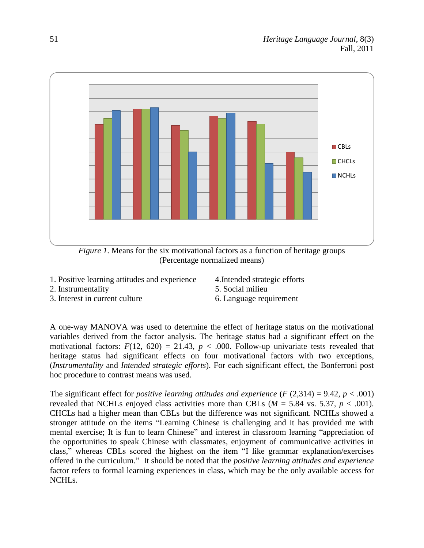

*Figure 1*. Means for the six motivational factors as a function of heritage groups (Percentage normalized means)

- 1. Positive learning attitudes and experience
- 2. Instrumentality
- 3. Interest in current culture
- 4.Intended strategic efforts
- 5. Social milieu
- 6. Language requirement

A one-way MANOVA was used to determine the effect of heritage status on the motivational variables derived from the factor analysis. The heritage status had a significant effect on the motivational factors:  $F(12, 620) = 21.43$ ,  $p < .000$ . Follow-up univariate tests revealed that heritage status had significant effects on four motivational factors with two exceptions, (*Instrumentality* and *Intended strategic efforts*). For each significant effect, the Bonferroni post hoc procedure to contrast means was used.

The significant effect for *positive learning attitudes and experience*  $(F (2, 314) = 9.42, p < .001)$ revealed that NCHLs enjoyed class activities more than CBLs ( $M = 5.84$  vs. 5.37*, p* < .001). CHCLs had a higher mean than CBLs but the difference was not significant. NCHLs showed a stronger attitude on the items "Learning Chinese is challenging and it has provided me with mental exercise; It is fun to learn Chinese" and interest in classroom learning "appreciation of the opportunities to speak Chinese with classmates, enjoyment of communicative activities in class," whereas CBLs scored the highest on the item "I like grammar explanation/exercises offered in the curriculum." It should be noted that the *positive learning attitudes and experience* factor refers to formal learning experiences in class, which may be the only available access for NCHLs.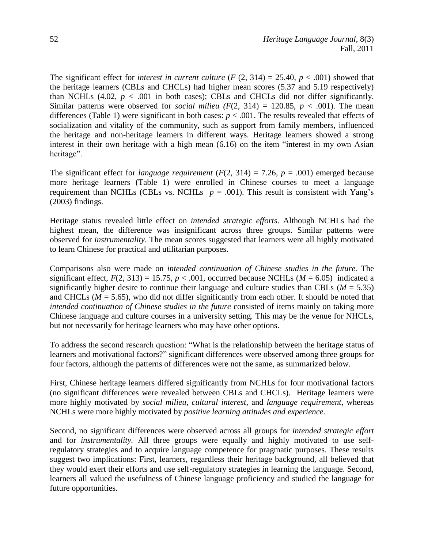The significant effect for *interest in current culture*  $(F (2, 314) = 25.40, p < .001)$  showed that the heritage learners (CBLs and CHCLs) had higher mean scores (5.37 and 5.19 respectively) than NCHLs  $(4.02, p < .001$  in both cases); CBLs and CHCLs did not differ significantly. Similar patterns were observed for *social milieu*  $(F(2, 314) = 120.85, p < .001)$ . The mean differences (Table 1) were significant in both cases:  $p < .001$ . The results revealed that effects of socialization and vitality of the community, such as support from family members, influenced the heritage and non-heritage learners in different ways. Heritage learners showed a strong interest in their own heritage with a high mean (6.16) on the item "interest in my own Asian heritage".

The significant effect for *language requirement* ( $F(2, 314) = 7.26$ ,  $p = .001$ ) emerged because more heritage learners (Table 1) were enrolled in Chinese courses to meet a language requirement than NCHLs (CBLs vs. NCHLs  $p = .001$ ). This result is consistent with Yang's (2003) findings.

Heritage status revealed little effect on *intended strategic efforts*. Although NCHLs had the highest mean, the difference was insignificant across three groups. Similar patterns were observed for *instrumentality*. The mean scores suggested that learners were all highly motivated to learn Chinese for practical and utilitarian purposes.

Comparisons also were made on *intended continuation of Chinese studies in the future.* The significant effect,  $F(2, 313) = 15.75$ ,  $p < .001$ , occurred because NCHLs ( $M = 6.05$ ) indicated a significantly higher desire to continue their language and culture studies than CBLs  $(M = 5.35)$ and CHCLs ( $M = 5.65$ ), who did not differ significantly from each other. It should be noted that *intended continuation of Chinese studies in the future* consisted of items mainly on taking more Chinese language and culture courses in a university setting. This may be the venue for NHCLs, but not necessarily for heritage learners who may have other options.

To address the second research question: "What is the relationship between the heritage status of learners and motivational factors?" significant differences were observed among three groups for four factors, although the patterns of differences were not the same, as summarized below.

First, Chinese heritage learners differed significantly from NCHLs for four motivational factors (no significant differences were revealed between CBLs and CHCLs). Heritage learners were more highly motivated by *social milieu*, *cultural interest*, and *language requirement*, whereas NCHLs were more highly motivated by *positive learning attitudes and experience.*

Second, no significant differences were observed across all groups for *intended strategic effort*  and for *instrumentality.* All three groups were equally and highly motivated to use selfregulatory strategies and to acquire language competence for pragmatic purposes. These results suggest two implications: First, learners, regardless their heritage background, all believed that they would exert their efforts and use self-regulatory strategies in learning the language. Second, learners all valued the usefulness of Chinese language proficiency and studied the language for future opportunities.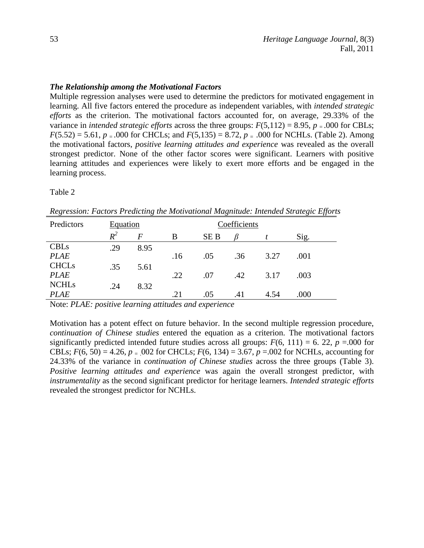## *The Relationship among the Motivational Factors*

Multiple regression analyses were used to determine the predictors for motivated engagement in learning. All five factors entered the procedure as independent variables, with *intended strategic efforts* as the criterion. The motivational factors accounted for, on average, 29.33% of the variance in *intended strategic efforts* across the three groups:  $F(5,112) = 8.95$ ,  $p = .000$  for CBLs;  $F(5.52) = 5.61$ ,  $p = .000$  for CHCLs; and  $F(5.135) = 8.72$ ,  $p = .000$  for NCHLs. (Table 2). Among the motivational factors, *positive learning attitudes and experience* was revealed as the overall strongest predictor. None of the other factor scores were significant. Learners with positive learning attitudes and experiences were likely to exert more efforts and be engaged in the learning process.

#### Table 2

| Predictors   | Equation |                | Coefficients |      |     |      |      |  |
|--------------|----------|----------------|--------------|------|-----|------|------|--|
|              | $R^2$    | $\overline{F}$ | B            | SE B |     |      | Sig. |  |
| <b>CBLs</b>  | .29      | 8.95           |              |      |     |      |      |  |
| <b>PLAE</b>  |          |                | .16          | .05  | .36 | 3.27 | .001 |  |
| <b>CHCLs</b> | .35      | 5.61           |              |      |     |      |      |  |
| <b>PLAE</b>  |          |                | .22          | .07  | .42 | 3.17 | .003 |  |
| <b>NCHLs</b> | .24      | 8.32           |              |      |     |      |      |  |
| <b>PLAE</b>  |          |                | .21          | .05  | .41 | 4.54 | .000 |  |

*Regression: Factors Predicting the Motivational Magnitude: Intended Strategic Efforts*

Note: *PLAE: positive learning attitudes and experience*

Motivation has a potent effect on future behavior. In the second multiple regression procedure, *continuation of Chinese studies* entered the equation as a criterion. The motivational factors significantly predicted intended future studies across all groups:  $F(6, 111) = 6$ . 22,  $p = .000$  for CBLs;  $F(6, 50) = 4.26$ ,  $p = 0.02$  for CHCLs;  $F(6, 134) = 3.67$ ,  $p = 0.02$  for NCHLs, accounting for 24.33% of the variance in *continuation of Chinese studies* across the three groups (Table 3). *Positive learning attitudes and experience* was again the overall strongest predictor, with *instrumentality* as the second significant predictor for heritage learners. *Intended strategic efforts* revealed the strongest predictor for NCHLs.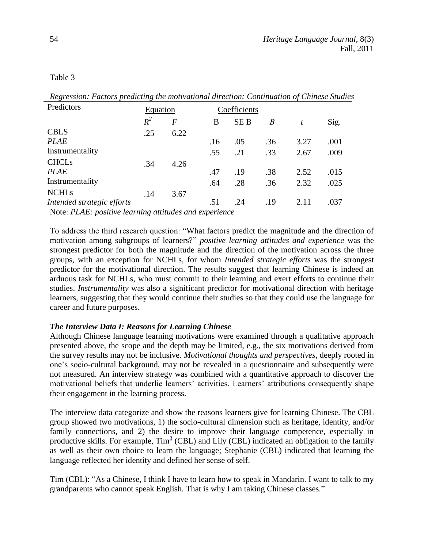Table 3

| Predictors                 | Equation | Coefficients   |     |            |                  |      |      |
|----------------------------|----------|----------------|-----|------------|------------------|------|------|
|                            | $R^2$    | $\overline{F}$ | B   | <b>SEB</b> | $\boldsymbol{B}$ | t    | Sig. |
| <b>CBLS</b>                | .25      | 6.22           |     |            |                  |      |      |
| <b>PLAE</b>                |          |                | .16 | .05        | .36              | 3.27 | .001 |
| Instrumentality            |          |                | .55 | .21        | .33              | 2.67 | .009 |
| <b>CHCLs</b>               | .34      | 4.26           |     |            |                  |      |      |
| <b>PLAE</b>                |          |                | .47 | .19        | .38              | 2.52 | .015 |
| Instrumentality            |          |                | .64 | .28        | .36              | 2.32 | .025 |
| <b>NCHLs</b>               | .14      | 3.67           |     |            |                  |      |      |
| Intended strategic efforts |          |                | .51 | .24        | .19              | 2.11 | .037 |

*Regression: Factors predicting the motivational direction: Continuation of Chinese Studies*

Note: *PLAE: positive learning attitudes and experience*

To address the third research question: "What factors predict the magnitude and the direction of motivation among subgroups of learners?" *positive learning attitudes and experience* was the strongest predictor for both the magnitude and the direction of the motivation across the three groups, with an exception for NCHLs, for whom *Intended strategic efforts* was the strongest predictor for the motivational direction. The results suggest that learning Chinese is indeed an arduous task for NCHLs, who must commit to their learning and exert efforts to continue their studies. *Instrumentality* was also a significant predictor for motivational direction with heritage learners, suggesting that they would continue their studies so that they could use the language for career and future purposes.

# *The Interview Data I: Reasons for Learning Chinese*

Although Chinese language learning motivations were examined through a qualitative approach presented above, the scope and the depth may be limited, e.g., the six motivations derived from the survey results may not be inclusive. *Motivational thoughts and perspectives*, deeply rooted in one's socio-cultural background, may not be revealed in a questionnaire and subsequently were not measured. An interview strategy was combined with a quantitative approach to discover the motivational beliefs that underlie learners' activities. Learners' attributions consequently shape their engagement in the learning process.

<span id="page-13-0"></span>The interview data categorize and show the reasons learners give for learning Chinese. The CBL group showed two motivations, 1) the socio-cultural dimension such as heritage, identity, and/or family connections, and 2) the desire to improve their language competence, especially in productive skills. For example, Tim<sup>[3](#page-25-2)</sup> (CBL) and Lily (CBL) indicated an obligation to the family as well as their own choice to learn the language; Stephanie (CBL) indicated that learning the language reflected her identity and defined her sense of self.

Tim (CBL): "As a Chinese, I think I have to learn how to speak in Mandarin. I want to talk to my grandparents who cannot speak English. That is why I am taking Chinese classes."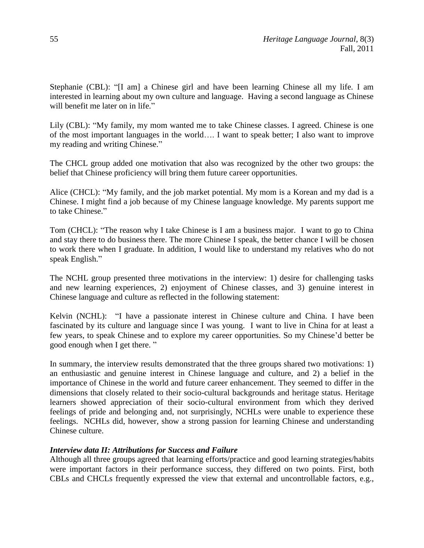Stephanie (CBL): "[I am] a Chinese girl and have been learning Chinese all my life. I am interested in learning about my own culture and language. Having a second language as Chinese will benefit me later on in life."

Lily (CBL): "My family, my mom wanted me to take Chinese classes. I agreed. Chinese is one of the most important languages in the world…. I want to speak better; I also want to improve my reading and writing Chinese."

The CHCL group added one motivation that also was recognized by the other two groups: the belief that Chinese proficiency will bring them future career opportunities.

Alice (CHCL): "My family, and the job market potential. My mom is a Korean and my dad is a Chinese. I might find a job because of my Chinese language knowledge. My parents support me to take Chinese."

Tom (CHCL): "The reason why I take Chinese is I am a business major. I want to go to China and stay there to do business there. The more Chinese I speak, the better chance I will be chosen to work there when I graduate. In addition, I would like to understand my relatives who do not speak English."

The NCHL group presented three motivations in the interview: 1) desire for challenging tasks and new learning experiences, 2) enjoyment of Chinese classes, and 3) genuine interest in Chinese language and culture as reflected in the following statement:

Kelvin (NCHL): "I have a passionate interest in Chinese culture and China. I have been fascinated by its culture and language since I was young. I want to live in China for at least a few years, to speak Chinese and to explore my career opportunities. So my Chinese'd better be good enough when I get there. "

In summary, the interview results demonstrated that the three groups shared two motivations: 1) an enthusiastic and genuine interest in Chinese language and culture, and 2) a belief in the importance of Chinese in the world and future career enhancement. They seemed to differ in the dimensions that closely related to their socio-cultural backgrounds and heritage status. Heritage learners showed appreciation of their socio-cultural environment from which they derived feelings of pride and belonging and, not surprisingly, NCHLs were unable to experience these feelings. NCHLs did, however, show a strong passion for learning Chinese and understanding Chinese culture.

# *Interview data II: Attributions for Success and Failure*

Although all three groups agreed that learning efforts/practice and good learning strategies/habits were important factors in their performance success, they differed on two points. First, both CBLs and CHCLs frequently expressed the view that external and uncontrollable factors, e.g.,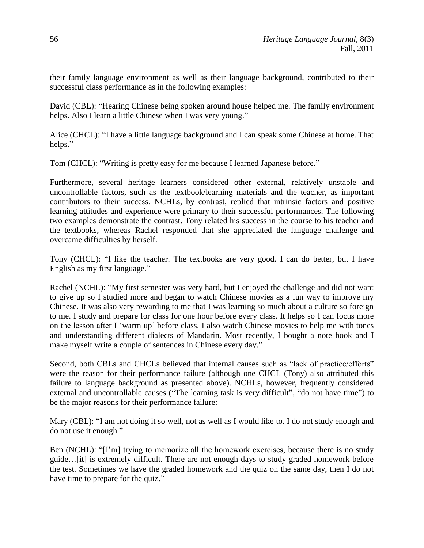their family language environment as well as their language background, contributed to their successful class performance as in the following examples:

David (CBL): "Hearing Chinese being spoken around house helped me. The family environment helps. Also I learn a little Chinese when I was very young."

Alice (CHCL): "I have a little language background and I can speak some Chinese at home. That helps."

Tom (CHCL): "Writing is pretty easy for me because I learned Japanese before."

Furthermore, several heritage learners considered other external, relatively unstable and uncontrollable factors, such as the textbook/learning materials and the teacher, as important contributors to their success. NCHLs, by contrast, replied that intrinsic factors and positive learning attitudes and experience were primary to their successful performances. The following two examples demonstrate the contrast. Tony related his success in the course to his teacher and the textbooks, whereas Rachel responded that she appreciated the language challenge and overcame difficulties by herself.

Tony (CHCL): "I like the teacher. The textbooks are very good. I can do better, but I have English as my first language."

Rachel (NCHL): "My first semester was very hard, but I enjoyed the challenge and did not want to give up so I studied more and began to watch Chinese movies as a fun way to improve my Chinese. It was also very rewarding to me that I was learning so much about a culture so foreign to me. I study and prepare for class for one hour before every class. It helps so I can focus more on the lesson after I 'warm up' before class. I also watch Chinese movies to help me with tones and understanding different dialects of Mandarin. Most recently, I bought a note book and I make myself write a couple of sentences in Chinese every day."

Second, both CBLs and CHCLs believed that internal causes such as "lack of practice/efforts" were the reason for their performance failure (although one CHCL (Tony) also attributed this failure to language background as presented above). NCHLs, however, frequently considered external and uncontrollable causes ("The learning task is very difficult", "do not have time") to be the major reasons for their performance failure:

Mary (CBL): "I am not doing it so well, not as well as I would like to. I do not study enough and do not use it enough."

Ben (NCHL): "[I'm] trying to memorize all the homework exercises, because there is no study guide…[it] is extremely difficult. There are not enough days to study graded homework before the test. Sometimes we have the graded homework and the quiz on the same day, then I do not have time to prepare for the quiz."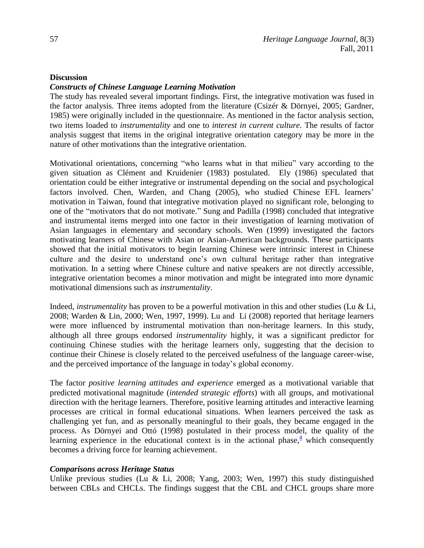### **Discussion**

## *Constructs of Chinese Language Learning Motivation*

The study has revealed several important findings. First, the integrative motivation was fused in the factor analysis. Three items adopted from the literature (Csizér & Dörnyei, 2005; Gardner, 1985) were originally included in the questionnaire. As mentioned in the factor analysis section, two items loaded to *instrumentality* and one to *interest in current culture*. The results of factor analysis suggest that items in the original integrative orientation category may be more in the nature of other motivations than the integrative orientation.

Motivational orientations, concerning "who learns what in that milieu" vary according to the given situation as Clément and Kruidenier (1983) postulated. Ely (1986) speculated that orientation could be either integrative or instrumental depending on the social and psychological factors involved. Chen, Warden, and Chang (2005), who studied Chinese EFL learners' motivation in Taiwan, found that integrative motivation played no significant role, belonging to one of the "motivators that do not motivate." Sung and Padilla (1998) concluded that integrative and instrumental items merged into one factor in their investigation of learning motivation of Asian languages in elementary and secondary schools. Wen (1999) investigated the factors motivating learners of Chinese with Asian or Asian-American backgrounds. These participants showed that the initial motivators to begin learning Chinese were intrinsic interest in Chinese culture and the desire to understand one's own cultural heritage rather than integrative motivation. In a setting where Chinese culture and native speakers are not directly accessible, integrative orientation becomes a minor motivation and might be integrated into more dynamic motivational dimensions such as *instrumentality*.

Indeed, *instrumentality* has proven to be a powerful motivation in this and other studies (Lu & Li, 2008; Warden & Lin, 2000; Wen, 1997, 1999). Lu and Li (2008) reported that heritage learners were more influenced by instrumental motivation than non-heritage learners. In this study, although all three groups endorsed *instrumentality* highly, it was a significant predictor for continuing Chinese studies with the heritage learners only, suggesting that the decision to continue their Chinese is closely related to the perceived usefulness of the language career-wise, and the perceived importance of the language in today's global economy.

The factor *positive learning attitudes and experience* emerged as a motivational variable that predicted motivational magnitude (*intended strategic efforts*) with all groups, and motivational direction with the heritage learners. Therefore, positive learning attitudes and interactive learning processes are critical in formal educational situations. When learners perceived the task as challenging yet fun, and as personally meaningful to their goals, they became engaged in the process. As Dörnyei and Ottó (1998) postulated in their process model, the quality of the learning experience in the educational context is in the actional phase, $\frac{4}{3}$  $\frac{4}{3}$  $\frac{4}{3}$  which consequently becomes a driving force for learning achievement.

### <span id="page-16-0"></span>*Comparisons across Heritage Status*

Unlike previous studies (Lu & Li, 2008; Yang, 2003; Wen, 1997) this study distinguished between CBLs and CHCLs. The findings suggest that the CBL and CHCL groups share more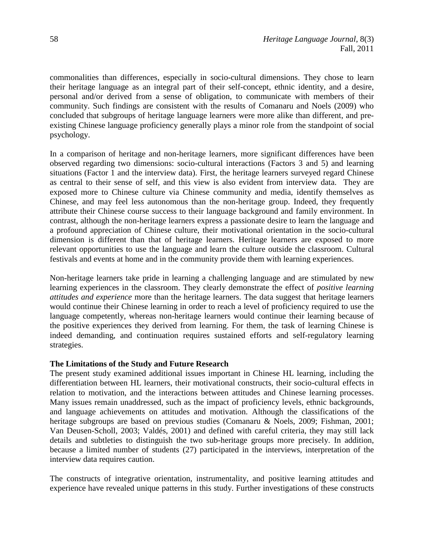commonalities than differences, especially in socio-cultural dimensions. They chose to learn their heritage language as an integral part of their self-concept, ethnic identity, and a desire, personal and/or derived from a sense of obligation, to communicate with members of their community. Such findings are consistent with the results of Comanaru and Noels (2009) who concluded that subgroups of heritage language learners were more alike than different, and preexisting Chinese language proficiency generally plays a minor role from the standpoint of social psychology.

In a comparison of heritage and non-heritage learners, more significant differences have been observed regarding two dimensions: socio-cultural interactions (Factors 3 and 5) and learning situations (Factor 1 and the interview data). First, the heritage learners surveyed regard Chinese as central to their sense of self, and this view is also evident from interview data. They are exposed more to Chinese culture via Chinese community and media, identify themselves as Chinese, and may feel less autonomous than the non-heritage group. Indeed, they frequently attribute their Chinese course success to their language background and family environment. In contrast, although the non-heritage learners express a passionate desire to learn the language and a profound appreciation of Chinese culture, their motivational orientation in the socio-cultural dimension is different than that of heritage learners. Heritage learners are exposed to more relevant opportunities to use the language and learn the culture outside the classroom. Cultural festivals and events at home and in the community provide them with learning experiences.

Non-heritage learners take pride in learning a challenging language and are stimulated by new learning experiences in the classroom. They clearly demonstrate the effect of *positive learning attitudes and experience* more than the heritage learners. The data suggest that heritage learners would continue their Chinese learning in order to reach a level of proficiency required to use the language competently, whereas non-heritage learners would continue their learning because of the positive experiences they derived from learning. For them, the task of learning Chinese is indeed demanding, and continuation requires sustained efforts and self-regulatory learning strategies.

### **The Limitations of the Study and Future Research**

The present study examined additional issues important in Chinese HL learning, including the differentiation between HL learners, their motivational constructs, their socio-cultural effects in relation to motivation, and the interactions between attitudes and Chinese learning processes. Many issues remain unaddressed, such as the impact of proficiency levels, ethnic backgrounds, and language achievements on attitudes and motivation. Although the classifications of the heritage subgroups are based on previous studies (Comanaru & Noels, 2009; Fishman, 2001; Van Deusen-Scholl, 2003; Valdés, 2001) and defined with careful criteria, they may still lack details and subtleties to distinguish the two sub-heritage groups more precisely. In addition, because a limited number of students (27) participated in the interviews, interpretation of the interview data requires caution.

The constructs of integrative orientation, instrumentality, and positive learning attitudes and experience have revealed unique patterns in this study. Further investigations of these constructs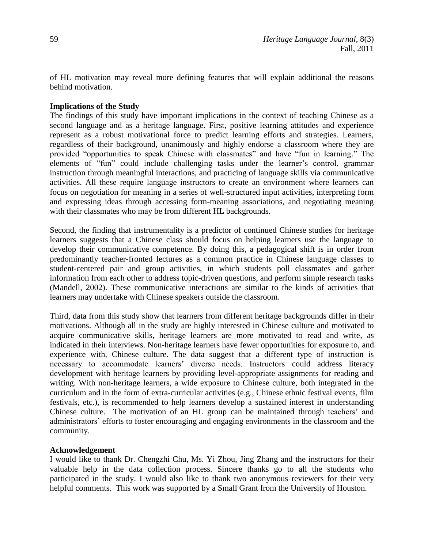of HL motivation may reveal more defining features that will explain additional the reasons behind motivation.

## **Implications of the Study**

The findings of this study have important implications in the context of teaching Chinese as a second language and as a heritage language. First, positive learning attitudes and experience represent as a robust motivational force to predict learning efforts and strategies. Learners, regardless of their background, unanimously and highly endorse a classroom where they are provided "opportunities to speak Chinese with classmates" and have "fun in learning." The elements of "fun" could include challenging tasks under the learner's control, grammar instruction through meaningful interactions, and practicing of language skills via communicative activities. All these require language instructors to create an environment where learners can focus on negotiation for meaning in a series of well-structured input activities, interpreting form and expressing ideas through accessing form-meaning associations, and negotiating meaning with their classmates who may be from different HL backgrounds.

Second, the finding that instrumentality is a predictor of continued Chinese studies for heritage learners suggests that a Chinese class should focus on helping learners use the language to develop their communicative competence. By doing this, a pedagogical shift is in order from predominantly teacher-fronted lectures as a common practice in Chinese language classes to student-centered pair and group activities, in which students poll classmates and gather information from each other to address topic-driven questions, and perform simple research tasks (Mandell, 2002). These communicative interactions are similar to the kinds of activities that learners may undertake with Chinese speakers outside the classroom.

Third, data from this study show that learners from different heritage backgrounds differ in their motivations. Although all in the study are highly interested in Chinese culture and motivated to acquire communicative skills, heritage learners are more motivated to read and write, as indicated in their interviews. Non-heritage learners have fewer opportunities for exposure to, and experience with, Chinese culture. The data suggest that a different type of instruction is necessary to accommodate learners' diverse needs. Instructors could address literacy development with heritage learners by providing level-appropriate assignments for reading and writing. With non-heritage learners, a wide exposure to Chinese culture, both integrated in the curriculum and in the form of extra-curricular activities (e.g., Chinese ethnic festival events, film festivals, etc.), is recommended to help learners develop a sustained interest in understanding Chinese culture. The motivation of an HL group can be maintained through teachers' and administrators' efforts to foster encouraging and engaging environments in the classroom and the community.

# **Acknowledgement**

I would like to thank Dr. Chengzhi Chu, Ms. Yi Zhou, Jing Zhang and the instructors for their valuable help in the data collection process. Sincere thanks go to all the students who participated in the study. I would also like to thank two anonymous reviewers for their very helpful comments. This work was supported by a Small Grant from the University of Houston.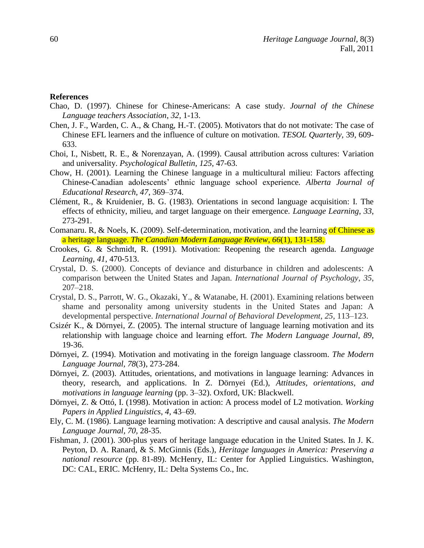#### **References**

- Chao, D. (1997). Chinese for Chinese-Americans: A case study. *Journal of the Chinese Language teachers Association*, *32*, 1-13.
- Chen, J. F., Warden, C. A., & Chang, H.-T. (2005). Motivators that do not motivate: The case of Chinese EFL learners and the influence of culture on motivation. *TESOL Quarterly,* 39, 609- 633.
- Choi, I., Nisbett, R. E., & Norenzayan, A. (1999). Causal attribution across cultures: Variation and universality. *Psychological Bulletin*, *125*, 47-63.
- Chow, H. (2001). Learning the Chinese language in a multicultural milieu: Factors affecting Chinese-Canadian adolescents' ethnic language school experience*. Alberta Journal of Educational Research*, *47*, 369–374.
- Clément, R., & Kruidenier, B. G. (1983). Orientations in second language acquisition: I. The effects of ethnicity, milieu, and target language on their emergence. *Language Learning*, *33*, 273-291.
- Comanaru. R, & Noels, K. (2009). Self-determination, motivation, and the learning of Chinese as a heritage language. *The Canadian Modern Language Review*, *66*(1), 131-158.
- Crookes, G. & Schmidt, R. (1991). Motivation: Reopening the research agenda. *Language Learning, 41*, 470-513.
- Crystal, D. S. (2000). Concepts of deviance and disturbance in children and adolescents: A comparison between the United States and Japan. *International Journal of Psychology*, *35*, 207–218.
- Crystal, D. S., Parrott, W. G., Okazaki, Y., & Watanabe, H. (2001). Examining relations between shame and personality among university students in the United States and Japan: A developmental perspective. *International Journal of Behavioral Development*, *25*, 113–123.
- Csizér K., & Dörnyei, Z. (2005). The internal structure of language learning motivation and its relationship with language choice and learning effort. *The Modern Language Journal*, *89*, 19-36.
- Dörnyei, Z. (1994). Motivation and motivating in the foreign language classroom. *The Modern Language Journal, 78*(3), 273-284.
- Dörnyei, Z. (2003). Attitudes, orientations, and motivations in language learning: Advances in theory, research, and applications. In Z. Dörnyei (Ed.), *Attitudes, orientations, and motivations in language learning* (pp. 3–32). Oxford, UK: Blackwell.
- Dörnyei, Z. & Ottó, I. (1998). Motivation in action: A process model of L2 motivation. *Working Papers in Applied Linguistics*, *4,* 43–69.
- Ely, C. M. (1986). Language learning motivation: A descriptive and causal analysis. *The Modern Language Journal, 70,* 28-35.
- Fishman, J. (2001). 300-plus years of heritage language education in the United States. In J. K. Peyton, D. A. Ranard, & S. McGinnis (Eds.), *Heritage languages in America: Preserving a national resource* (pp. 81-89). McHenry, IL: Center for Applied Linguistics. Washington, DC: CAL, ERIC. McHenry, IL: Delta Systems Co., Inc.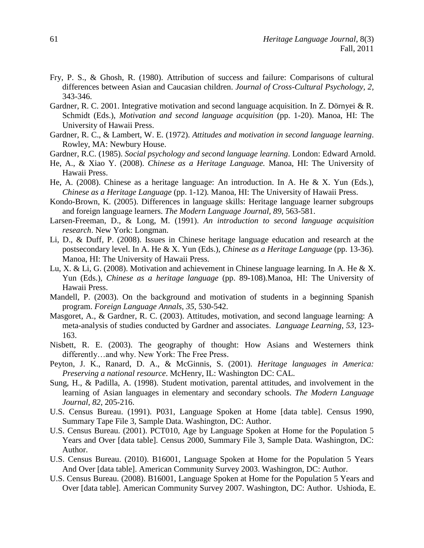- Fry, P. S., & Ghosh, R. (1980). Attribution of success and failure: Comparisons of cultural differences between Asian and Caucasian children. *Journal of Cross-Cultural Psychology, 2*, 343-346.
- Gardner, R. C. 2001. Integrative motivation and second language acquisition. In Z. Dörnyei & R. Schmidt (Eds.), *Motivation and second language acquisition* (pp. 1-20). Manoa, HI: The University of Hawaii Press.
- Gardner, R. C., & Lambert, W. E. (1972). *Attitudes and motivation in second language learning*. Rowley, MA: Newbury House.
- Gardner, R.C. (1985). *Social psychology and second language learning*. London: Edward Arnold.
- He, A., & Xiao Y. (2008). *Chinese as a Heritage Language.* Manoa, HI: The University of Hawaii Press.
- He, A. (2008). Chinese as a heritage language: An introduction. In A. He & X. Yun (Eds.), *Chinese as a Heritage Language* (pp. 1-12)*.* Manoa, HI: The University of Hawaii Press.
- Kondo-Brown, K. (2005). Differences in language skills: Heritage language learner subgroups and foreign language learners. *The Modern Language Journal, 89*, 563-581.
- Larsen-Freeman, D., & Long, M. (1991). *An introduction to second language acquisition research*. New York: Longman.
- Li, D., & Duff, P. (2008). Issues in Chinese heritage language education and research at the postsecondary level. In A. He & X. Yun (Eds.), *Chinese as a Heritage Language* (pp. 13-36)*.*  Manoa, HI: The University of Hawaii Press.
- Lu, X. & Li, G. (2008). Motivation and achievement in Chinese language learning. In A. He & X. Yun (Eds.), *Chinese as a heritage language* (pp. 89-108)*.*Manoa, HI: The University of Hawaii Press.
- Mandell, P. (2003). On the background and motivation of students in a beginning Spanish program. *Foreign Language Annals, 35*, 530-542.
- Masgoret, A., & Gardner, R. C. (2003). Attitudes, motivation, and second language learning: A meta-analysis of studies conducted by Gardner and associates. *Language Learning, 53,* 123- 163.
- Nisbett, R. E. (2003). The geography of thought: How Asians and Westerners think differently…and why. New York: The Free Press.
- Peyton, J. K., Ranard, D. A., & McGinnis, S. (2001). *Heritage languages in America: Preserving a national resource*. McHenry, IL: Washington DC: CAL.
- Sung, H., & Padilla, A. (1998). Student motivation, parental attitudes, and involvement in the learning of Asian languages in elementary and secondary schools. *The Modern Language Journal, 82*, 205-216.
- U.S. Census Bureau. (1991). P031, Language Spoken at Home [data table]. Census 1990, Summary Tape File 3, Sample Data. Washington, DC: Author.
- U.S. Census Bureau. (2001). PCT010, Age by Language Spoken at Home for the Population 5 Years and Over [data table]. Census 2000, Summary File 3, Sample Data. Washington, DC: Author.
- U.S. Census Bureau. (2010). B16001, Language Spoken at Home for the Population 5 Years And Over [data table]. American Community Survey 2003. Washington, DC: Author.
- U.S. Census Bureau. (2008). B16001, Language Spoken at Home for the Population 5 Years and Over [data table]. American Community Survey 2007. Washington, DC: Author. Ushioda, E.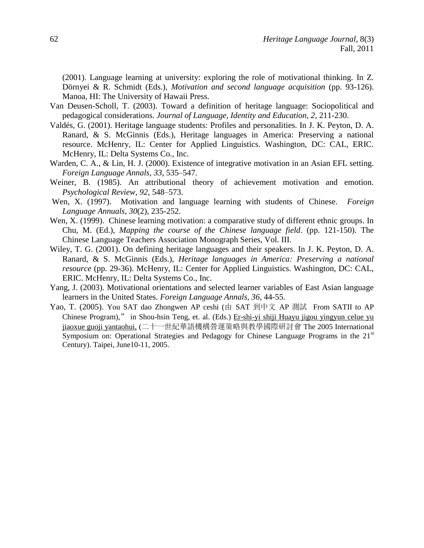(2001). Language learning at university: exploring the role of motivational thinking. In Z. Dörnyei & R. Schmidt (Eds.), *Motivation and second language acquisition* (pp. 93-126). Manoa, HI: The University of Hawaii Press.

- Van Deusen-Scholl, T. (2003). Toward a definition of heritage language: Sociopolitical and pedagogical considerations. *Journal of Language, Identity and Education, 2,* 211-230.
- Valdés, G. (2001). Heritage language students: Profiles and personalities. In J. K. Peyton, D. A. Ranard, & S. McGinnis (Eds.), Heritage languages in America: Preserving a national resource. McHenry, IL: Center for Applied Linguistics. Washington, DC: CAL, ERIC. McHenry, IL: Delta Systems Co., Inc.
- Warden, C. A., & Lin, H. J. (2000). Existence of integrative motivation in an Asian EFL setting. *Foreign Language Annals, 33*, 535–547.
- Weiner, B. (1985). An attributional theory of achievement motivation and emotion. *Psychological Review*, *92*, 548–573.
- Wen, X. (1997). Motivation and language learning with students of Chinese. *Foreign Language Annuals, 30*(2), 235-252.
- Wen, X. (1999). Chinese learning motivation: a comparative study of different ethnic groups. In Chu, M. (Ed.), *Mapping the course of the Chinese language field*. (pp. 121-150). The Chinese Language Teachers Association Monograph Series, Vol. III.
- Wiley, T. G. (2001). On defining heritage languages and their speakers. In J. K. Peyton, D. A. Ranard, & S. McGinnis (Eds.), *Heritage languages in America: Preserving a national resource* (pp. 29-36). McHenry, IL: Center for Applied Linguistics. Washington, DC: CAL, ERIC. McHenry, IL: Delta Systems Co., Inc.
- Yang, J. (2003). Motivational orientations and selected learner variables of East Asian language learners in the United States. *Foreign Language Annals, 36*, 44-55.
- Yao, T. (2005). You SAT dao Zhongwen AP ceshi (由 SAT 到中文 AP 測試 From SATII to AP Chinese Program)," in Shou-hsin Teng, et. al. (Eds.) Er-shi-yi shiji Huayu jigou yingyun celue yu jiaoxue guoji yantaohui, (二十一世紀華語機構營運策略與教學國際研討會 The 2005 International Symposium on: Operational Strategies and Pedagogy for Chinese Language Programs in the  $21<sup>st</sup>$ Century). Taipei, June10-11, 2005.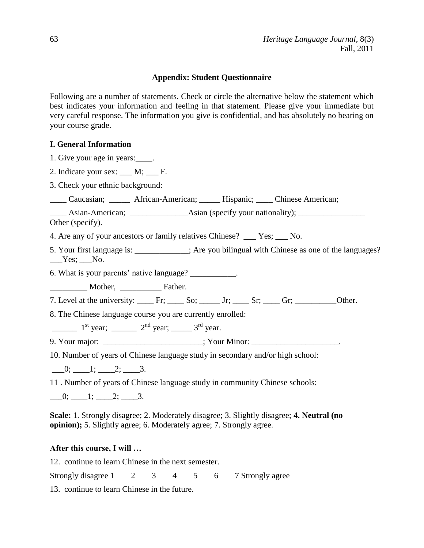# **Appendix: Student Questionnaire**

Following are a number of statements. Check or circle the alternative below the statement which best indicates your information and feeling in that statement. Please give your immediate but very careful response. The information you give is confidential, and has absolutely no bearing on your course grade.

# **I. General Information**

- 1. Give your age in years:\_\_\_\_.
- 2. Indicate your sex: M; F.
- 3. Check your ethnic background:
- \_\_\_\_ Caucasian; \_\_\_\_\_ African-American; \_\_\_\_\_ Hispanic; \_\_\_\_ Chinese American;

\_\_\_\_ Asian-American; \_\_\_\_\_\_\_\_\_\_\_\_\_\_Asian (specify your nationality); \_\_\_\_\_\_\_\_\_\_\_\_\_\_\_\_

Other (specify).

- 4. Are any of your ancestors or family relatives Chinese? \_\_\_ Yes; \_\_\_ No.
- 5. Your first language is:  $\therefore$  Are you bilingual with Chinese as one of the languages?  $Yes$ ;  $No.$

6. What is your parents' native language? \_\_\_\_\_\_\_\_\_\_\_.

\_\_\_\_\_\_\_\_\_ Mother, \_\_\_\_\_\_\_\_\_\_ Father.

- 7. Level at the university:  $\frac{F}{x}$  Fr;  $\frac{S}{x}$  So;  $\frac{F}{x}$  Jr;  $\frac{S}{x}$  Sr;  $\frac{G}{x}$  Gr;  $\frac{G}{x}$  Other.
- 8. The Chinese language course you are currently enrolled:

 $1<sup>st</sup>$  year;  $2<sup>nd</sup>$  year;  $3<sup>rd</sup>$  year.

9. Your major: \_\_\_\_\_\_\_\_\_\_\_\_\_\_\_\_\_\_\_\_\_\_\_; Your Minor: \_\_\_\_\_\_\_\_\_\_\_\_\_\_\_\_\_\_\_\_\_\_.

10. Number of years of Chinese language study in secondary and/or high school:

 $\frac{0;}{\sqrt{1^2-1^2}}$ ;  $\frac{2;}{\sqrt{3}}$ .

11 . Number of years of Chinese language study in community Chinese schools:

 $\frac{0;}{\sqrt{1^2-1^2}}$ ;  $\frac{2;}{\sqrt{3}}$ .

**Scale:** 1. Strongly disagree; 2. Moderately disagree; 3. Slightly disagree; **4. Neutral (no opinion);** 5. Slightly agree; 6. Moderately agree; 7. Strongly agree.

# **After this course, I will …**

12. continue to learn Chinese in the next semester.

Strongly disagree 1 2 3 4 5 6 7 Strongly agree

13. continue to learn Chinese in the future.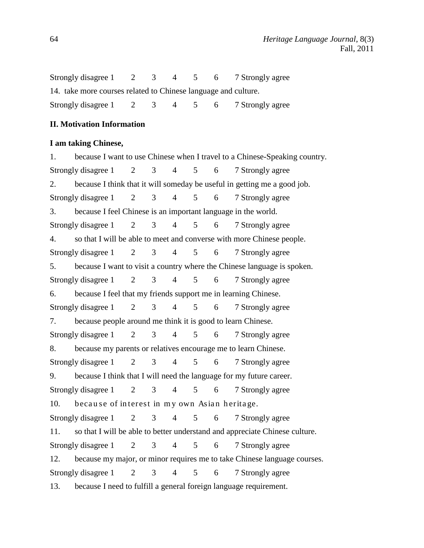Strongly disagree 1 2 3 4 5 6 7 Strongly agree 14. take more courses related to Chinese language and culture. Strongly disagree 1 2 3 4 5 6 7 Strongly agree

## **II. Motivation Information**

### **I am taking Chinese,**

1. because I want to use Chinese when I travel to a Chinese-Speaking country. Strongly disagree 1 2 3 4 5 6 7 Strongly agree 2. because I think that it will someday be useful in getting me a good job. Strongly disagree 1 2 3 4 5 6 7 Strongly agree 3. because I feel Chinese is an important language in the world. Strongly disagree 1 2 3 4 5 6 7 Strongly agree 4. so that I will be able to meet and converse with more Chinese people. Strongly disagree 1 2 3 4 5 6 7 Strongly agree 5. because I want to visit a country where the Chinese language is spoken. Strongly disagree 1 2 3 4 5 6 7 Strongly agree 6. because I feel that my friends support me in learning Chinese. Strongly disagree 1 2 3 4 5 6 7 Strongly agree 7. because people around me think it is good to learn Chinese. Strongly disagree 1 2 3 4 5 6 7 Strongly agree 8. because my parents or relatives encourage me to learn Chinese. Strongly disagree 1 2 3 4 5 6 7 Strongly agree 9. because I think that I will need the language for my future career. Strongly disagree 1 2 3 4 5 6 7 Strongly agree 10. because of interest in my own Asian heritage. Strongly disagree 1 2 3 4 5 6 7 Strongly agree 11. so that I will be able to better understand and appreciate Chinese culture. Strongly disagree 1 2 3 4 5 6 7 Strongly agree 12. because my major, or minor requires me to take Chinese language courses. Strongly disagree 1 2 3 4 5 6 7 Strongly agree 13. because I need to fulfill a general foreign language requirement.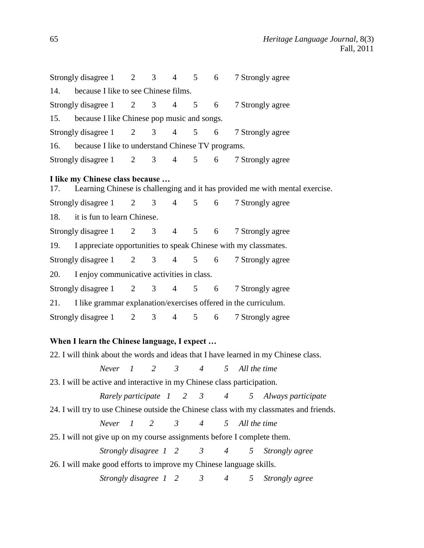|                                                                         | Strongly disagree $1 \t 2$                  |                                               | 3 <sup>7</sup> | $4 \quad$       | $5^{\circ}$       | 6                                                 | 7 Strongly agree                                                                        |  |  |  |  |
|-------------------------------------------------------------------------|---------------------------------------------|-----------------------------------------------|----------------|-----------------|-------------------|---------------------------------------------------|-----------------------------------------------------------------------------------------|--|--|--|--|
| 14.                                                                     | because I like to see Chinese films.        |                                               |                |                 |                   |                                                   |                                                                                         |  |  |  |  |
|                                                                         | Strongly disagree $1 \t 2 \t 3$             |                                               |                | $\overline{4}$  | 5 <sup>5</sup>    | 6                                                 | 7 Strongly agree                                                                        |  |  |  |  |
| 15.                                                                     | because I like Chinese pop music and songs. |                                               |                |                 |                   |                                                   |                                                                                         |  |  |  |  |
|                                                                         | Strongly disagree $1 \t 2 \t 3$             |                                               |                | $\overline{4}$  | 5 <sup>5</sup>    | $6\degree$                                        | 7 Strongly agree                                                                        |  |  |  |  |
| 16.                                                                     |                                             |                                               |                |                 |                   | because I like to understand Chinese TV programs. |                                                                                         |  |  |  |  |
|                                                                         | Strongly disagree $1 \t 2 \t 3$             |                                               |                | $\overline{4}$  |                   | $5\qquad 6$                                       | 7 Strongly agree                                                                        |  |  |  |  |
|                                                                         | I like my Chinese class because             |                                               |                |                 |                   |                                                   | 17. Learning Chinese is challenging and it has provided me with mental exercise.        |  |  |  |  |
|                                                                         | Strongly disagree 1 2                       |                                               | 3 <sup>7</sup> | $\overline{4}$  | 5 <sup>5</sup>    | 6                                                 | 7 Strongly agree                                                                        |  |  |  |  |
|                                                                         | 18. it is fun to learn Chinese.             |                                               |                |                 |                   |                                                   |                                                                                         |  |  |  |  |
|                                                                         | Strongly disagree $1 \t 2 \t 3$             |                                               |                | $\overline{4}$  | 5 <sup>5</sup>    | 6                                                 | 7 Strongly agree                                                                        |  |  |  |  |
| I appreciate opportunities to speak Chinese with my classmates.<br>19.  |                                             |                                               |                |                 |                   |                                                   |                                                                                         |  |  |  |  |
|                                                                         | Strongly disagree 1                         | $\overline{2}$                                | 3 <sup>7</sup> |                 | $4\quad 5\quad 6$ |                                                   | 7 Strongly agree                                                                        |  |  |  |  |
| 20.                                                                     | I enjoy communicative activities in class.  |                                               |                |                 |                   |                                                   |                                                                                         |  |  |  |  |
|                                                                         | Strongly disagree 1                         | $\overline{2}$                                | 3 <sup>7</sup> | $4\overline{ }$ |                   | 5 6                                               | 7 Strongly agree                                                                        |  |  |  |  |
|                                                                         |                                             |                                               |                |                 |                   |                                                   | 21. I like grammar explanation/exercises offered in the curriculum.                     |  |  |  |  |
|                                                                         | Strongly disagree 1 2                       |                                               | 3 <sup>7</sup> | $4\overline{ }$ |                   | $5\qquad 6$                                       | 7 Strongly agree                                                                        |  |  |  |  |
|                                                                         | When I learn the Chinese language, I expect |                                               |                |                 |                   |                                                   |                                                                                         |  |  |  |  |
|                                                                         |                                             |                                               |                |                 |                   |                                                   | 22. I will think about the words and ideas that I have learned in my Chinese class.     |  |  |  |  |
|                                                                         |                                             | Never 1                                       | 2              |                 |                   |                                                   | $3 \t 4 \t 5 \t All the time$                                                           |  |  |  |  |
|                                                                         |                                             |                                               |                |                 |                   |                                                   | 23. I will be active and interactive in my Chinese class participation.                 |  |  |  |  |
|                                                                         |                                             |                                               |                |                 |                   |                                                   | Rarely participate 1 2 3 4 5 Always participate                                         |  |  |  |  |
|                                                                         |                                             |                                               |                |                 |                   |                                                   | 24. I will try to use Chinese outside the Chinese class with my classmates and friends. |  |  |  |  |
|                                                                         |                                             | Never $1 \t 2 \t 3$                           |                |                 |                   |                                                   | 4 5 All the time                                                                        |  |  |  |  |
| 25. I will not give up on my course assignments before I complete them. |                                             |                                               |                |                 |                   |                                                   |                                                                                         |  |  |  |  |
|                                                                         |                                             |                                               |                |                 |                   |                                                   | Strongly disagree 1 2 3 4 5 Strongly agree                                              |  |  |  |  |
| 26. I will make good efforts to improve my Chinese language skills.     |                                             |                                               |                |                 |                   |                                                   |                                                                                         |  |  |  |  |
|                                                                         |                                             | Strongly disagree $1 \quad 2 \quad 3 \quad 4$ |                |                 |                   |                                                   | 5 <sup>5</sup><br>Strongly agree                                                        |  |  |  |  |